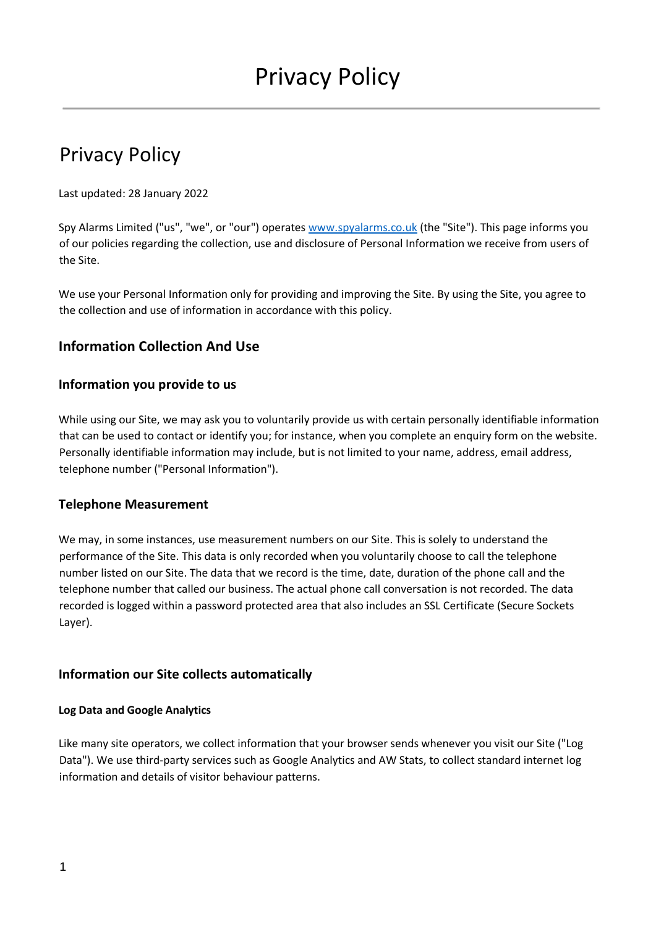# Privacy Policy

Last updated: 28 January 2022

Spy Alarms Limited ("us", "we", or "our") operates [www.spyalarms.co.uk](http://www.spyalarms.co.uk/) (the "Site"). This page informs you of our policies regarding the collection, use and disclosure of Personal Information we receive from users of the Site.

We use your Personal Information only for providing and improving the Site. By using the Site, you agree to the collection and use of information in accordance with this policy.

# **Information Collection And Use**

### **Information you provide to us**

While using our Site, we may ask you to voluntarily provide us with certain personally identifiable information that can be used to contact or identify you; for instance, when you complete an enquiry form on the website. Personally identifiable information may include, but is not limited to your name, address, email address, telephone number ("Personal Information").

### **Telephone Measurement**

We may, in some instances, use measurement numbers on our Site. This is solely to understand the performance of the Site. This data is only recorded when you voluntarily choose to call the telephone number listed on our Site. The data that we record is the time, date, duration of the phone call and the telephone number that called our business. The actual phone call conversation is not recorded. The data recorded is logged within a password protected area that also includes an SSL Certificate (Secure Sockets Layer).

## **Information our Site collects automatically**

### **Log Data and Google Analytics**

Like many site operators, we collect information that your browser sends whenever you visit our Site ("Log Data"). We use third-party services such as Google Analytics and AW Stats, to collect standard internet log information and details of visitor behaviour patterns.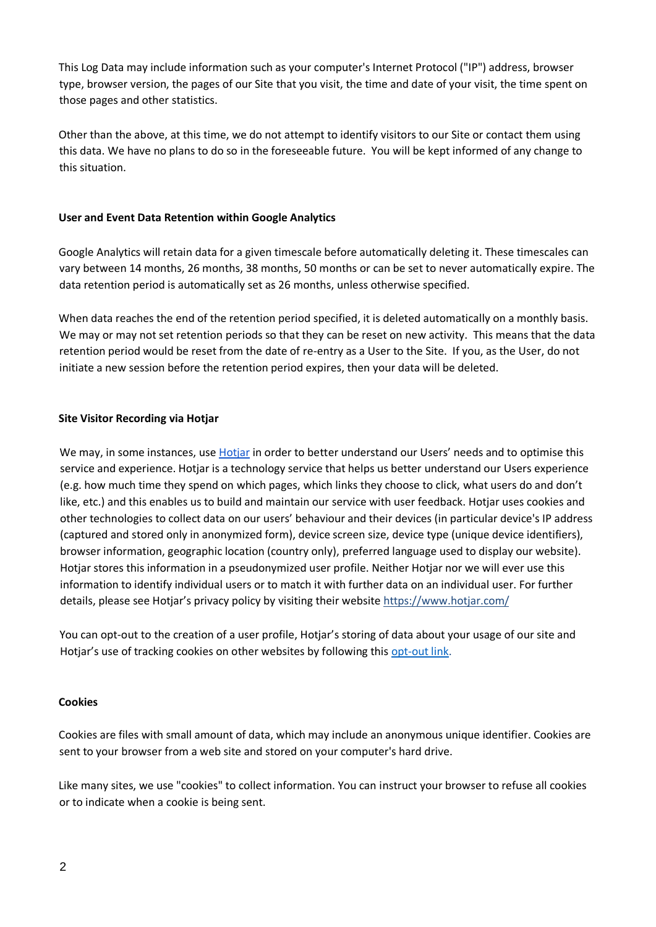This Log Data may include information such as your computer's Internet Protocol ("IP") address, browser type, browser version, the pages of our Site that you visit, the time and date of your visit, the time spent on those pages and other statistics.

Other than the above, at this time, we do not attempt to identify visitors to our Site or contact them using this data. We have no plans to do so in the foreseeable future. You will be kept informed of any change to this situation.

### **User and Event Data Retention within Google Analytics**

Google Analytics will retain data for a given timescale before automatically deleting it. These timescales can vary between 14 months, 26 months, 38 months, 50 months or can be set to never automatically expire. The data retention period is automatically set as 26 months, unless otherwise specified.

When data reaches the end of the retention period specified, it is deleted automatically on a monthly basis. We may or may not set retention periods so that they can be reset on new activity. This means that the data retention period would be reset from the date of re-entry as a User to the Site. If you, as the User, do not initiate a new session before the retention period expires, then your data will be deleted.

### **Site Visitor Recording via Hotjar**

We may, in some instances, use [Hotjar](http://www.hotjar.com/) in order to better understand our Users' needs and to optimise this service and experience. Hotjar is a technology service that helps us better understand our Users experience (e.g. how much time they spend on which pages, which links they choose to click, what users do and don't like, etc.) and this enables us to build and maintain our service with user feedback. Hotjar uses cookies and other technologies to collect data on our users' behaviour and their devices (in particular device's IP address (captured and stored only in anonymized form), device screen size, device type (unique device identifiers), browser information, geographic location (country only), preferred language used to display our website). Hotjar stores this information in a pseudonymized user profile. Neither Hotjar nor we will ever use this information to identify individual users or to match it with further data on an individual user. For further details, please see Hotjar's privacy policy by visiting their website https://www.hotjar.com/

You can opt-out to the creation of a user profile, Hotjar's storing of data about your usage of our site and Hotjar's use of tracking cookies on other websites by following this [opt-out link.](https://www.hotjar.com/policies/do-not-track/)

#### **Cookies**

Cookies are files with small amount of data, which may include an anonymous unique identifier. Cookies are sent to your browser from a web site and stored on your computer's hard drive.

Like many sites, we use "cookies" to collect information. You can instruct your browser to refuse all cookies or to indicate when a cookie is being sent.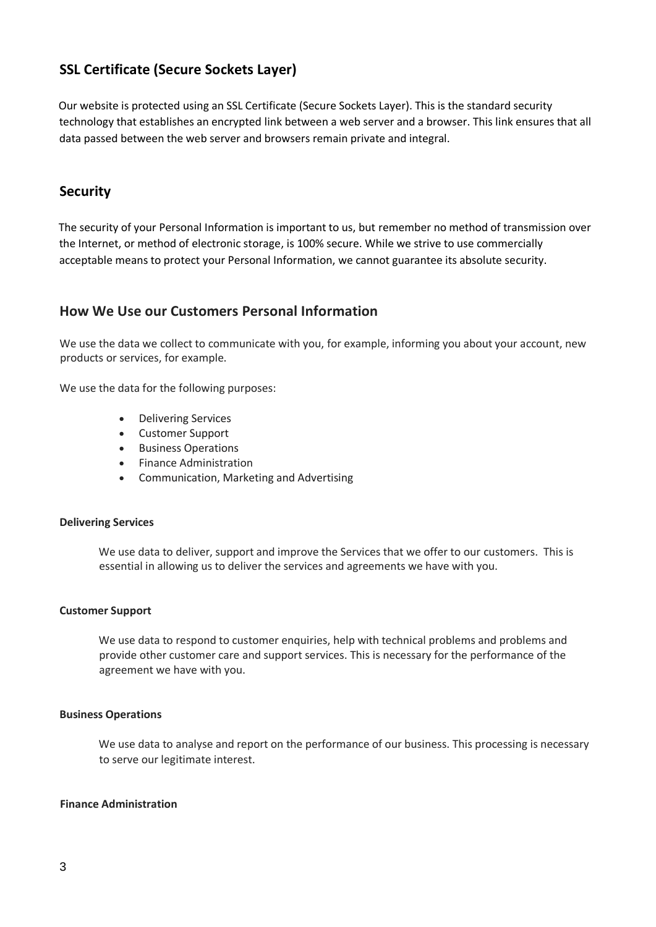# **SSL Certificate (Secure Sockets Layer)**

Our website is protected using an SSL Certificate (Secure Sockets Layer). This is the standard security technology that establishes an encrypted link between a web server and a browser. This link ensures that all data passed between the web server and browsers remain private and integral.

# **Security**

The security of your Personal Information is important to us, but remember no method of transmission over the Internet, or method of electronic storage, is 100% secure. While we strive to use commercially acceptable means to protect your Personal Information, we cannot guarantee its absolute security.

# **How We Use our Customers Personal Information**

We use the data we collect to communicate with you, for example, informing you about your account, new products or services, for example.

We use the data for the following purposes:

- Delivering Services
- Customer Support
- Business Operations
- Finance Administration
- Communication, Marketing and Advertising

#### **Delivering Services**

We use data to deliver, support and improve the Services that we offer to our customers. This is essential in allowing us to deliver the services and agreements we have with you.

#### **Customer Support**

We use data to respond to customer enquiries, help with technical problems and problems and provide other customer care and support services. This is necessary for the performance of the agreement we have with you.

#### **Business Operations**

We use data to analyse and report on the performance of our business. This processing is necessary to serve our legitimate interest.

#### **Finance Administration**